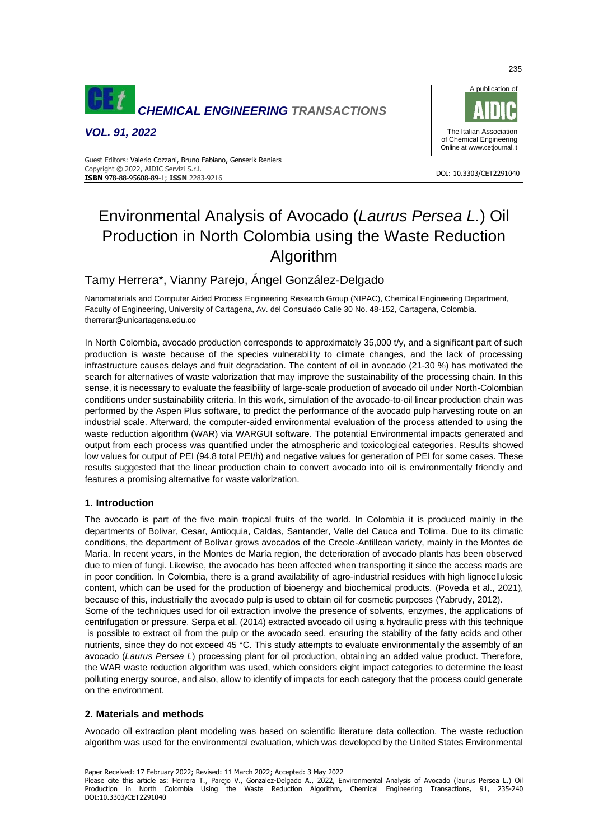

*VOL. 91, 2022*



DOI: 10.3303/CET2291040

#### Guest Editors: Valerio Cozzani, Bruno Fabiano, Genserik Reniers Copyright © 2022, AIDIC Servizi S.r.l. **ISBN** 978-88-95608-89-1; **ISSN** 2283-9216

# Environmental Analysis of Avocado (*Laurus Persea L.*) Oil Production in North Colombia using the Waste Reduction Algorithm

# Tamy Herrera\*, Vianny Parejo, Ángel González-Delgado

Nanomaterials and Computer Aided Process Engineering Research Group (NIPAC), Chemical Engineering Department, Faculty of Engineering, University of Cartagena, Av. del Consulado Calle 30 No. 48-152, Cartagena, Colombia. therrerar@unicartagena.edu.co

In North Colombia, avocado production corresponds to approximately 35,000 t/y, and a significant part of such production is waste because of the species vulnerability to climate changes, and the lack of processing infrastructure causes delays and fruit degradation. The content of oil in avocado (21-30 %) has motivated the search for alternatives of waste valorization that may improve the sustainability of the processing chain. In this sense, it is necessary to evaluate the feasibility of large-scale production of avocado oil under North-Colombian conditions under sustainability criteria. In this work, simulation of the avocado-to-oil linear production chain was performed by the Aspen Plus software, to predict the performance of the avocado pulp harvesting route on an industrial scale. Afterward, the computer-aided environmental evaluation of the process attended to using the waste reduction algorithm (WAR) via WARGUI software. The potential Environmental impacts generated and output from each process was quantified under the atmospheric and toxicological categories. Results showed low values for output of PEI (94.8 total PEI/h) and negative values for generation of PEI for some cases. These results suggested that the linear production chain to convert avocado into oil is environmentally friendly and features a promising alternative for waste valorization.

# **1. Introduction**

The avocado is part of the five main tropical fruits of the world. In Colombia it is produced mainly in the departments of Bolivar, Cesar, Antioquia, Caldas, Santander, Valle del Cauca and Tolima. Due to its climatic conditions, the department of Bolívar grows avocados of the Creole-Antillean variety, mainly in the Montes de María. In recent years, in the Montes de María region, the deterioration of avocado plants has been observed due to mien of fungi. Likewise, the avocado has been affected when transporting it since the access roads are in poor condition. In Colombia, there is a grand availability of agro-industrial residues with high lignocellulosic content, which can be used for the production of bioenergy and biochemical products. (Poveda et al., 2021), because of this, industrially the avocado pulp is used to obtain oil for cosmetic purposes (Yabrudy, 2012). Some of the techniques used for oil extraction involve the presence of solvents, enzymes, the applications of centrifugation or pressure. Serpa et al. (2014) extracted avocado oil using a hydraulic press with this technique is possible to extract oil from the pulp or the avocado seed, ensuring the stability of the fatty acids and other nutrients, since they do not exceed 45 °C. This study attempts to evaluate environmentally the assembly of an avocado (*Laurus Persea L*) processing plant for oil production, obtaining an added value product. Therefore, the WAR waste reduction algorithm was used, which considers eight impact categories to determine the least polluting energy source, and also, allow to identify of impacts for each category that the process could generate on the environment.

# **2. Materials and methods**

Avocado oil extraction plant modeling was based on scientific literature data collection. The waste reduction algorithm was used for the environmental evaluation, which was developed by the United States Environmental

Paper Received: 17 February 2022; Revised: 11 March 2022; Accepted: 3 May 2022 Please cite this article as: Herrera T., Parejo V., Gonzalez-Delgado A., 2022, Environmental Analysis of Avocado (laurus Persea L.) Oil Production in North Colombia Using the Waste Reduction Algorithm, Chemical Engineering Transactions, 91, 235-240 DOI:10.3303/CET2291040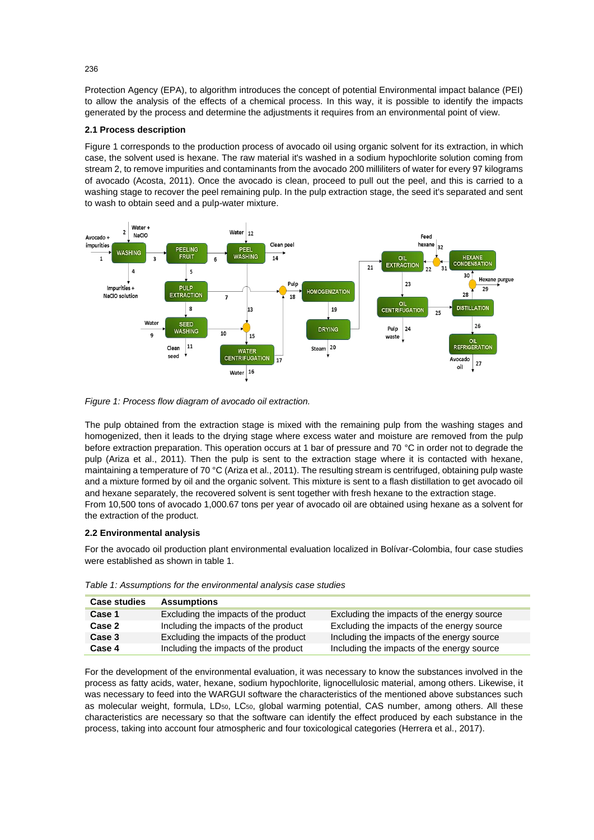Protection Agency (EPA), to algorithm introduces the concept of potential Environmental impact balance (PEI) to allow the analysis of the effects of a chemical process. In this way, it is possible to identify the impacts generated by the process and determine the adjustments it requires from an environmental point of view.

#### **2.1 Process description**

Figure 1 corresponds to the production process of avocado oil using organic solvent for its extraction, in which case, the solvent used is hexane. The raw material it's washed in a sodium hypochlorite solution coming from stream 2, to remove impurities and contaminants from the avocado 200 milliliters of water for every 97 kilograms of avocado (Acosta, 2011). Once the avocado is clean, proceed to pull out the peel, and this is carried to a washing stage to recover the peel remaining pulp. In the pulp extraction stage, the seed it's separated and sent to wash to obtain seed and a pulp-water mixture.



*Figure 1: Process flow diagram of avocado oil extraction.*

The pulp obtained from the extraction stage is mixed with the remaining pulp from the washing stages and homogenized, then it leads to the drying stage where excess water and moisture are removed from the pulp before extraction preparation. This operation occurs at 1 bar of pressure and 70 °C in order not to degrade the pulp (Ariza et al., 2011). Then the pulp is sent to the extraction stage where it is contacted with hexane, maintaining a temperature of 70 °C (Ariza et al., 2011). The resulting stream is centrifuged, obtaining pulp waste and a mixture formed by oil and the organic solvent. This mixture is sent to a flash distillation to get avocado oil and hexane separately, the recovered solvent is sent together with fresh hexane to the extraction stage. From 10,500 tons of avocado 1,000.67 tons per year of avocado oil are obtained using hexane as a solvent for the extraction of the product.

#### **2.2 Environmental analysis**

For the avocado oil production plant environmental evaluation localized in Bolívar-Colombia, four case studies were established as shown in table 1.

| <b>Case studies</b> | <b>Assumptions</b>                   |                                            |
|---------------------|--------------------------------------|--------------------------------------------|
| Case 1              | Excluding the impacts of the product | Excluding the impacts of the energy source |
| Case 2              | Including the impacts of the product | Excluding the impacts of the energy source |
| Case 3              | Excluding the impacts of the product | Including the impacts of the energy source |
| Case 4              | Including the impacts of the product | Including the impacts of the energy source |

*Table 1: Assumptions for the environmental analysis case studies*

For the development of the environmental evaluation, it was necessary to know the substances involved in the process as fatty acids, water, hexane, sodium hypochlorite, lignocellulosic material, among others. Likewise, it was necessary to feed into the WARGUI software the characteristics of the mentioned above substances such as molecular weight, formula, LD<sub>50</sub>, LC<sub>50</sub>, global warming potential, CAS number, among others. All these characteristics are necessary so that the software can identify the effect produced by each substance in the process, taking into account four atmospheric and four toxicological categories (Herrera et al., 2017).

236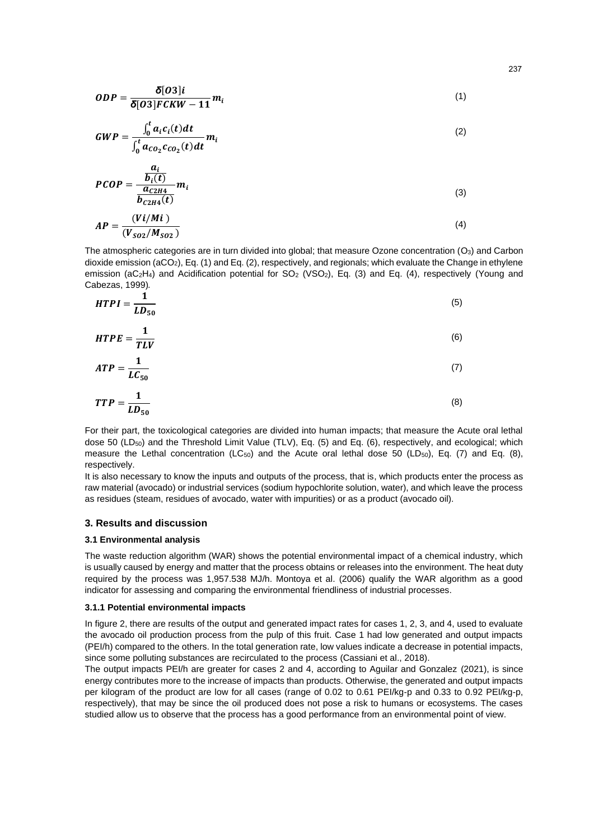$$
ODP = \frac{\delta[O3]i}{\delta[O3]FCKW - 11}m_i
$$
\n(1)

$$
GWP = \frac{\int_0^t a_i c_i(t) dt}{\int_0^t a_{CO_2} c_{CO_2}(t) dt} m_i
$$
\n(2)

$$
PCOP = \frac{\frac{a_i}{b_i(t)}}{\frac{a_{C2H4}}{b_{C2H4}(t)}} m_i
$$
\n(3)

$$
AP = \frac{(Vi/Mi)}{(V_{SO2}/M_{SO2})}
$$
\n<sup>(4)</sup>

The atmospheric categories are in turn divided into global; that measure Ozone concentration (O<sub>3</sub>) and Carbon dioxide emission (aCO2), Eq. (1) and Eq. (2), respectively, and regionals; which evaluate the Change in ethylene emission (aC<sub>2</sub>H<sub>4</sub>) and Acidification potential for SO<sub>2</sub> (VSO<sub>2</sub>), Eq. (3) and Eq. (4), respectively (Young and Cabezas, 1999)*.*

$$
HTPI = \frac{1}{LD_{50}}\tag{5}
$$

$$
H T P E = \frac{1}{T L V} \tag{6}
$$

$$
ATP = \frac{1}{LC_{50}}\tag{7}
$$

$$
TTP = \frac{1}{LD_{50}}\tag{8}
$$

For their part, the toxicological categories are divided into human impacts; that measure the Acute oral lethal dose 50 (LD<sub>50</sub>) and the Threshold Limit Value (TLV), Eq. (5) and Eq. (6), respectively, and ecological; which measure the Lethal concentration (LC $_{50}$ ) and the Acute oral lethal dose 50 (LD $_{50}$ ), Eq. (7) and Eq. (8), respectively.

It is also necessary to know the inputs and outputs of the process, that is, which products enter the process as raw material (avocado) or industrial services (sodium hypochlorite solution, water), and which leave the process as residues (steam, residues of avocado, water with impurities) or as a product (avocado oil).

#### **3. Results and discussion**

#### **3.1 Environmental analysis**

The waste reduction algorithm (WAR) shows the potential environmental impact of a chemical industry, which is usually caused by energy and matter that the process obtains or releases into the environment. The heat duty required by the process was 1,957.538 MJ/h. Montoya et al. (2006) qualify the WAR algorithm as a good indicator for assessing and comparing the environmental friendliness of industrial processes.

#### **3.1.1 Potential environmental impacts**

In figure 2, there are results of the output and generated impact rates for cases 1, 2, 3, and 4, used to evaluate the avocado oil production process from the pulp of this fruit. Case 1 had low generated and output impacts (PEI/h) compared to the others. In the total generation rate, low values indicate a decrease in potential impacts, since some polluting substances are recirculated to the process (Cassiani et al., 2018).

The output impacts PEI/h are greater for cases 2 and 4, according to Aguilar and Gonzalez (2021), is since energy contributes more to the increase of impacts than products. Otherwise, the generated and output impacts per kilogram of the product are low for all cases (range of 0.02 to 0.61 PEI/kg-p and 0.33 to 0.92 PEI/kg-p, respectively), that may be since the oil produced does not pose a risk to humans or ecosystems. The cases studied allow us to observe that the process has a good performance from an environmental point of view.

237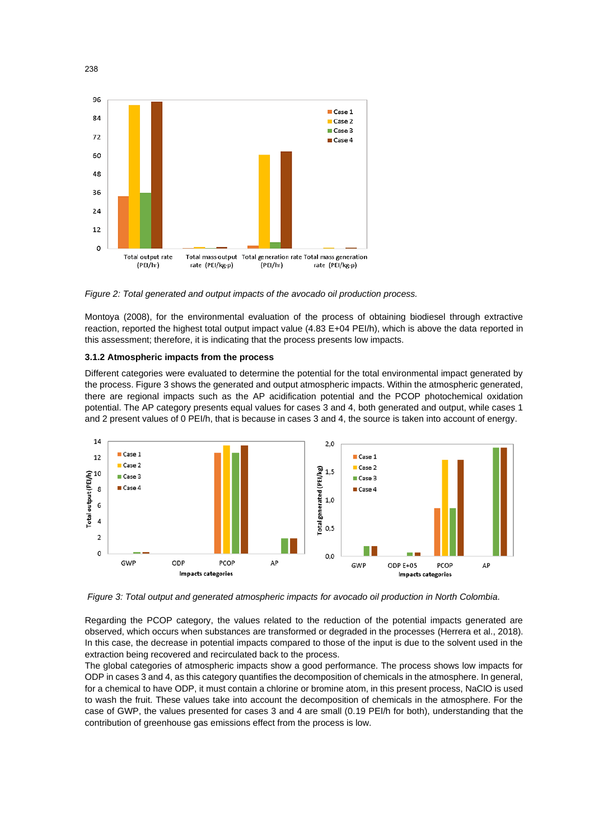

*Figure 2: Total generated and output impacts of the avocado oil production process.*

Montoya (2008), for the environmental evaluation of the process of obtaining biodiesel through extractive reaction, reported the highest total output impact value (4.83 E+04 PEI/h), which is above the data reported in this assessment; therefore, it is indicating that the process presents low impacts.

### **3.1.2 Atmospheric impacts from the process**

Different categories were evaluated to determine the potential for the total environmental impact generated by the process. Figure 3 shows the generated and output atmospheric impacts. Within the atmospheric generated, there are regional impacts such as the AP acidification potential and the PCOP photochemical oxidation potential. The AP category presents equal values for cases 3 and 4, both generated and output, while cases 1 and 2 present values of 0 PEI/h, that is because in cases 3 and 4, the source is taken into account of energy.



*Figure 3: Total output and generated atmospheric impacts for avocado oil production in North Colombia.*

Regarding the PCOP category, the values related to the reduction of the potential impacts generated are observed, which occurs when substances are transformed or degraded in the processes (Herrera et al., 2018). In this case, the decrease in potential impacts compared to those of the input is due to the solvent used in the extraction being recovered and recirculated back to the process.

The global categories of atmospheric impacts show a good performance. The process shows low impacts for ODP in cases 3 and 4, as this category quantifies the decomposition of chemicals in the atmosphere. In general, for a chemical to have ODP, it must contain a chlorine or bromine atom, in this present process, NaClO is used to wash the fruit. These values take into account the decomposition of chemicals in the atmosphere. For the case of GWP, the values presented for cases 3 and 4 are small (0.19 PEI/h for both), understanding that the contribution of greenhouse gas emissions effect from the process is low.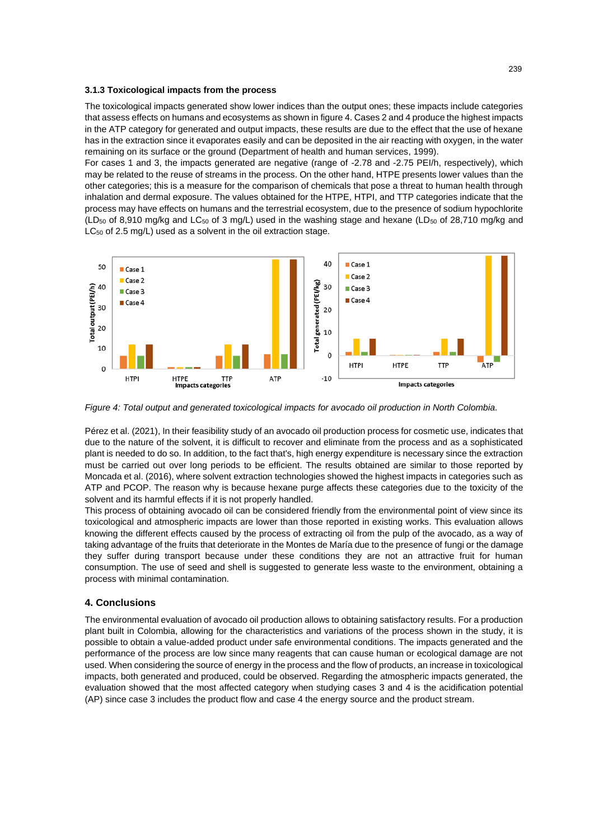#### **3.1.3 Toxicological impacts from the process**

The toxicological impacts generated show lower indices than the output ones; these impacts include categories that assess effects on humans and ecosystems as shown in figure 4. Cases 2 and 4 produce the highest impacts in the ATP category for generated and output impacts, these results are due to the effect that the use of hexane has in the extraction since it evaporates easily and can be deposited in the air reacting with oxygen, in the water remaining on its surface or the ground (Department of health and human services, 1999).

For cases 1 and 3, the impacts generated are negative (range of -2.78 and -2.75 PEI/h, respectively), which may be related to the reuse of streams in the process. On the other hand, HTPE presents lower values than the other categories; this is a measure for the comparison of chemicals that pose a threat to human health through inhalation and dermal exposure. The values obtained for the HTPE, HTPI, and TTP categories indicate that the process may have effects on humans and the terrestrial ecosystem, due to the presence of sodium hypochlorite (LD<sub>50</sub> of 8,910 mg/kg and LC<sub>50</sub> of 3 mg/L) used in the washing stage and hexane (LD<sub>50</sub> of 28,710 mg/kg and LC<sub>50</sub> of 2.5 mg/L) used as a solvent in the oil extraction stage.



*Figure 4: Total output and generated toxicological impacts for avocado oil production in North Colombia.*

Pérez et al. (2021), In their feasibility study of an avocado oil production process for cosmetic use, indicates that due to the nature of the solvent, it is difficult to recover and eliminate from the process and as a sophisticated plant is needed to do so. In addition, to the fact that's, high energy expenditure is necessary since the extraction must be carried out over long periods to be efficient. The results obtained are similar to those reported by Moncada et al. (2016), where solvent extraction technologies showed the highest impacts in categories such as ATP and PCOP. The reason why is because hexane purge affects these categories due to the toxicity of the solvent and its harmful effects if it is not properly handled.

This process of obtaining avocado oil can be considered friendly from the environmental point of view since its toxicological and atmospheric impacts are lower than those reported in existing works. This evaluation allows knowing the different effects caused by the process of extracting oil from the pulp of the avocado, as a way of taking advantage of the fruits that deteriorate in the Montes de María due to the presence of fungi or the damage they suffer during transport because under these conditions they are not an attractive fruit for human consumption. The use of seed and shell is suggested to generate less waste to the environment, obtaining a process with minimal contamination.

### **4. Conclusions**

The environmental evaluation of avocado oil production allows to obtaining satisfactory results. For a production plant built in Colombia, allowing for the characteristics and variations of the process shown in the study, it is possible to obtain a value-added product under safe environmental conditions. The impacts generated and the performance of the process are low since many reagents that can cause human or ecological damage are not used. When considering the source of energy in the process and the flow of products, an increase in toxicological impacts, both generated and produced, could be observed. Regarding the atmospheric impacts generated, the evaluation showed that the most affected category when studying cases 3 and 4 is the acidification potential (AP) since case 3 includes the product flow and case 4 the energy source and the product stream.